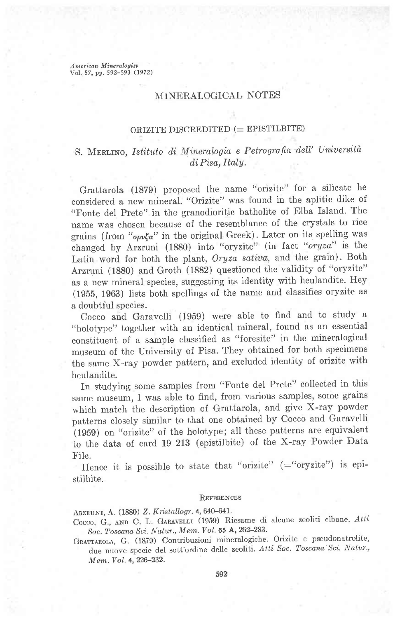American Mineralogist Vol. 57, pp. 592-593 (1972)

## MINERALOGICAL NOTES

## ORIZITE DISCREDITED  $($  = EPISTILBITE $)$

## S. MERLINO, Istituto di Mineralogia e Petrografia dell' Università di Pisa, Italy.

Grattarola (1379) proposed the name "orizite" for a silicate he considered a new mineral. "Orizite" was found in the aplitic dike of "Fonte del Prete" in the granodioritic batholite of Elba Island. The name was chosen because of the resemblance of the crystals to rice grains (from " $opv\zeta\alpha$ " in the original Greek). Later on its spelling was changed by Arzruni (1880) into "oryzite" (in facl' "oryza" is the Latin word for both the plant, Oryza sativa, and the grain). Both Arzruni (1880) and Groth (1SS2) questioned the validity of "oryzite" as a new mineral species, suggesting its identity with heulandite. Hey (1955, 1963) lists both spellings of the name and classifies oryzite as a doubtful species.

Cocco and Garavelli (1959) were able to find and to study a "holotype" together with an identical mineral, found as an essential constituent of a sample classified as "foresite" in the mineralogical museum of the University of Pisa. They obtained for both specimens the same X-ray powder pattern, and excluded identity of orizite with heulandite.

In studying some samples from "Fonte del Prete" collected in this same museum, I was able to find, from various samples, sorne grains which match the description of Grattarola, and give X-ray powder patterns closely similar to that one obtained by cocco and Garavelli (1959) on "orizite" of the holotype; all these patterns are equivalent to the data of card 19-213 (epistilbite) of the X-ray Powder Data File.

Hence it is possible to state that "orizite"  $($ ="oryzite" $)$  is epistilbite.

#### REFERENCES

ARZRUNI, A. (1880) Z. Kristallogr. 4, 640-641.

Cocco, G., AND C. L. GARAVELLI (1959) Riesame di alcune zeoliti elbane. Atti Soc. Toscana Sci. Natur., Mem. Vol. 65 A, 262-283.

GRATTAROLA, G. (1879) Contribuzioni mineralogiche. Orizite e pseudonatrolite, due nuove specie del sott'ordine delle zeoliti. Atti Soc. Toscana Sci. Natur., Mem. Vol. 4, 226-232.